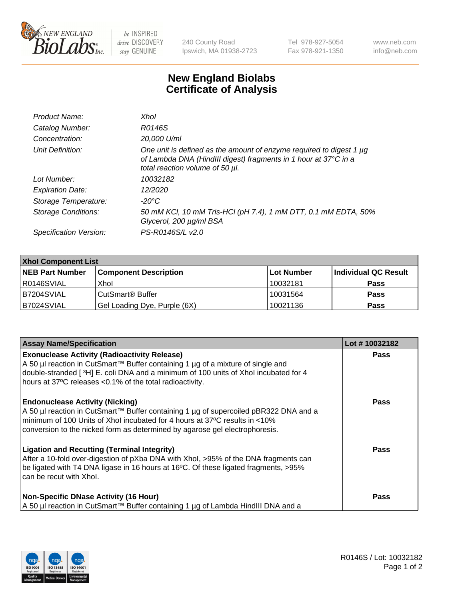

 $be$  INSPIRED drive DISCOVERY stay GENUINE

240 County Road Ipswich, MA 01938-2723 Tel 978-927-5054 Fax 978-921-1350 www.neb.com info@neb.com

## **New England Biolabs Certificate of Analysis**

| Product Name:              | Xhol                                                                                                                                                                      |
|----------------------------|---------------------------------------------------------------------------------------------------------------------------------------------------------------------------|
| Catalog Number:            | R0146S                                                                                                                                                                    |
| Concentration:             | 20,000 U/ml                                                                                                                                                               |
| Unit Definition:           | One unit is defined as the amount of enzyme required to digest 1 µg<br>of Lambda DNA (HindIII digest) fragments in 1 hour at 37°C in a<br>total reaction volume of 50 µl. |
| Lot Number:                | 10032182                                                                                                                                                                  |
| <b>Expiration Date:</b>    | 12/2020                                                                                                                                                                   |
| Storage Temperature:       | -20°C                                                                                                                                                                     |
| <b>Storage Conditions:</b> | 50 mM KCl, 10 mM Tris-HCl (pH 7.4), 1 mM DTT, 0.1 mM EDTA, 50%<br>Glycerol, 200 µg/ml BSA                                                                                 |
| Specification Version:     | PS-R0146S/L v2.0                                                                                                                                                          |

| <b>Xhol Component List</b> |                              |             |                      |  |  |
|----------------------------|------------------------------|-------------|----------------------|--|--|
| <b>NEB Part Number</b>     | <b>Component Description</b> | ∣Lot Number | Individual QC Result |  |  |
| R0146SVIAL                 | Xhol                         | 10032181    | <b>Pass</b>          |  |  |
| IB7204SVIAL                | CutSmart® Buffer             | 10031564    | <b>Pass</b>          |  |  |
| B7024SVIAL                 | Gel Loading Dye, Purple (6X) | 10021136    | <b>Pass</b>          |  |  |

| <b>Assay Name/Specification</b>                                                                                                                                                                                                                                                             | Lot #10032182 |
|---------------------------------------------------------------------------------------------------------------------------------------------------------------------------------------------------------------------------------------------------------------------------------------------|---------------|
| <b>Exonuclease Activity (Radioactivity Release)</b><br>A 50 µl reaction in CutSmart™ Buffer containing 1 µg of a mixture of single and<br>double-stranded [3H] E. coli DNA and a minimum of 100 units of Xhol incubated for 4<br>hours at 37°C releases <0.1% of the total radioactivity.   | <b>Pass</b>   |
| <b>Endonuclease Activity (Nicking)</b><br>A 50 µl reaction in CutSmart™ Buffer containing 1 µg of supercoiled pBR322 DNA and a<br>minimum of 100 Units of Xhol incubated for 4 hours at 37°C results in <10%<br>conversion to the nicked form as determined by agarose gel electrophoresis. | <b>Pass</b>   |
| <b>Ligation and Recutting (Terminal Integrity)</b><br>After a 10-fold over-digestion of pXba DNA with Xhol, >95% of the DNA fragments can<br>be ligated with T4 DNA ligase in 16 hours at 16°C. Of these ligated fragments, >95%<br>can be recut with Xhol.                                 | <b>Pass</b>   |
| <b>Non-Specific DNase Activity (16 Hour)</b><br>A 50 µl reaction in CutSmart™ Buffer containing 1 µg of Lambda HindIII DNA and a                                                                                                                                                            | <b>Pass</b>   |